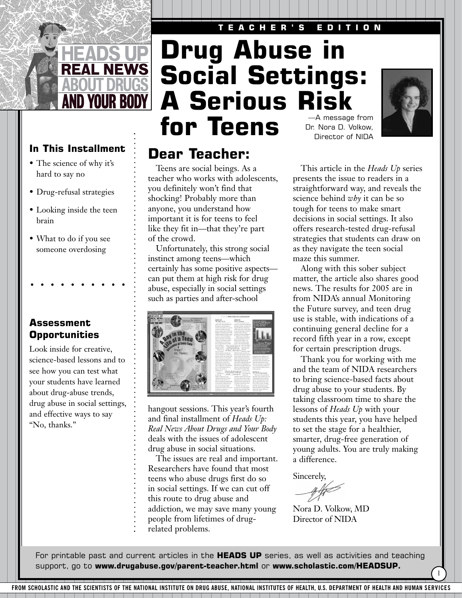#### **TEACHER'S EDITION**



- The science of why it's hard to say no
- Drug-refusal strategies
- Looking inside the teen brain
- What to do if you see someone overdosing

## **Assessment Opportunities**

Look inside for creative, science-based lessons and to see how you can test what your students have learned about drug-abuse trends, drug abuse in social settings, and effective ways to say "No, thanks."

# **Drug Abuse in Social Settings: A Serious Risk for Teens** Dr. Nora D. Volkow,

## In This Installment **Dear Teacher:**

Teens are social beings. As a teacher who works with adolescents, you definitely won't find that shocking! Probably more than anyone, you understand how important it is for teens to feel like they fit in—that they're part of the crowd.

Unfortunately, this strong social instinct among teens—which certainly has some positive aspects can put them at high risk for drug abuse, especially in social settings such as parties and after-school



hangout sessions. This year's fourth and final installment of *Heads Up: Real News About Drugs and Your Body* deals with the issues of adolescent drug abuse in social situations.

The issues are real and important. Researchers have found that most teens who abuse drugs first do so in social settings. If we can cut off this route to drug abuse and addiction, we may save many young people from lifetimes of drugrelated problems.

Director of NIDA



This article in the *Heads Up* series presents the issue to readers in a straightforward way, and reveals the science behind *why* it can be so tough for teens to make smart decisions in social settings. It also offers research-tested drug-refusal strategies that students can draw on as they navigate the teen social maze this summer.

Along with this sober subject matter, the article also shares good news. The results for 2005 are in from NIDA's annual Monitoring the Future survey, and teen drug use is stable, with indications of a continuing general decline for a record fifth year in a row, except for certain prescription drugs.

Thank you for working with me and the team of NIDA researchers to bring science-based facts about drug abuse to your students. By taking classroom time to share the lessons of *Heads Up* with your students this year, you have helped to set the stage for a healthier, smarter, drug-free generation of young adults. You are truly making a difference.

I

Sincerely,

Nora D. Volkow, MD Director of NIDA

For printable past and current articles in the **HEADS UP** series, as well as activities and teaching support, go to **www.drugabuse.gov/parent-teacher.html** or **www.scholastic.com/HEADSUP.**

**FROM SCHOLASTIC AND THE SCIENTISTS OF THE NATIONAL INSTITUTE ON DRUG ABUSE, NATIONAL INSTITUTES OF HEALTH, U.S. DEPARTMENT OF HEALTH AND HUMAN SERVICES**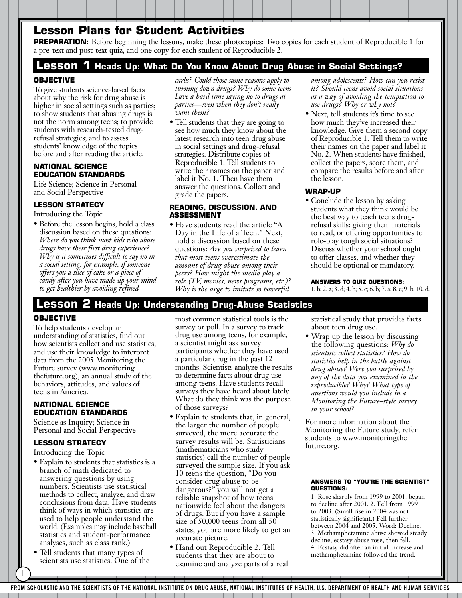## **Lesson Plans for Student Activities**

**PREPARATION:** Before beginning the lessons, make these photocopies: Two copies for each student of Reproducible 1 for a pre-text and post-text quiz, and one copy for each student of Reproducible 2.

### **Lesson 1 Heads Up: What Do You Know About Drug Abuse in Social Settings?**

#### **OBJECTIVE**

To give students science-based facts about why the risk for drug abuse is higher in social settings such as parties; to show students that abusing drugs is not the norm among teens; to provide students with research-tested drugrefusal strategies; and to assess students' knowledge of the topics before and after reading the article.

#### **NATIONAL SCIENCE EDUCATION STANDARDS**

Life Science; Science in Personal and Social Perspective

#### **LESSON STRATEGY**

Introducing the Topic

• Before the lesson begins, hold a class discussion based on these questions: *Where do you think most kids who abuse drugs have their first drug experience? Why is it sometimes difficult to say no in a social setting; for example, if someone offers you a slice of cake or a piece of candy after you have made up your mind to get healthier by avoiding refined*

*carbs? Could those same reasons apply to turning down drugs? Why do some teens have a hard time saying no to drugs at parties—even when they don't really want them?*

• Tell students that they are going to see how much they know about the latest research into teen drug abuse in social settings and drug-refusal strategies. Distribute copies of Reproducible 1. Tell students to write their names on the paper and label it No. 1. Then have them answer the questions. Collect and grade the papers.

#### **READING, DISCUSSION, AND ASSESSMENT**

• Have students read the article "A Day in the Life of a Teen." Next, hold a discussion based on these questions: *Are you surprised to learn that most teens overestimate the amount of drug abuse among their peers? How might the media play a role (TV, movies, news programs, etc.)? Why is the urge to imitate so powerful*

*among adolescents? How can you resist it? Should teens avoid social situations as a way of avoiding the temptation to use drugs? Why or why not?*

• Next, tell students it's time to see how much they've increased their knowledge. Give them a second copy of Reproducible 1. Tell them to write their names on the paper and label it No. 2. When students have finished, collect the papers, score them, and compare the results before and after the lesson.

#### **WRAP-UP**

• Conclude the lesson by asking students what they think would be the best way to teach teens drugrefusal skills: giving them materials to read, or offering opportunities to role-play tough social situations? Discuss whether your school ought to offer classes, and whether they should be optional or mandatory.

**ANSWERS TO QUIZ QUESTIONS:**  1. b; 2. a; 3. d; 4. b; 5. c; 6. b; 7. a; 8. c; 9. b; 10. d.

### **Lesson 2 Heads Up: Understanding Drug-Abuse Statistics**

#### **OBJECTIVE**

To help students develop an understanding of statistics, find out how scientists collect and use statistics, and use their knowledge to interpret data from the 2005 Monitoring the Future survey (www.monitoring thefuture.org), an annual study of the behaviors, attitudes, and values of teens in America.

#### **NATIONAL SCIENCE EDUCATION STANDARDS**

Science as Inquiry; Science in Personal and Social Perspective

#### **LESSON STRATEGY**

Introducing the Topic

II

- Explain to students that statistics is a branch of math dedicated to answering questions by using numbers. Scientists use statistical methods to collect, analyze, and draw conclusions from data. Have students think of ways in which statistics are used to help people understand the world. (Examples may include baseball statistics and student-performance analyses, such as class rank.)
- Tell students that many types of scientists use statistics. One of the

most common statistical tools is the survey or poll. In a survey to track drug use among teens, for example, a scientist might ask survey participants whether they have used a particular drug in the past 12 months. Scientists analyze the results to determine facts about drug use among teens. Have students recall surveys they have heard about lately. What do they think was the purpose of those surveys?

- Explain to students that, in general, the larger the number of people surveyed, the more accurate the survey results will be. Statisticians (mathematicians who study statistics) call the number of people surveyed the sample size. If you ask 10 teens the question, "Do you consider drug abuse to be dangerous?" you will not get a reliable snapshot of how teens nationwide feel about the dangers of drugs. But if you have a sample size of 50,000 teens from all 50 states, you are more likely to get an accurate picture.
- Hand out Reproducible 2. Tell students that they are about to examine and analyze parts of a real

statistical study that provides facts about teen drug use.

• Wrap up the lesson by discussing the following questions: *Why do scientists collect statistics? How do statistics help in the battle against drug abuse? Were you surprised by any of the data you examined in the reproducible? Why? What type of questions would you include in a Monitoring the Future–style survey in your school?*

For more information about the Monitoring the Future study, refer students to www.monitoringthe future.org.

#### **ANSWERS TO "YOU'RE THE SCIENTIST" QUESTIONS:**

1. Rose sharply from 1999 to 2001; began to decline after 2001. 2. Fell from 1999 to 2003. (Small rise in 2004 was not statistically significant.) Fell further between 2004 and 2005. Word: Decline. 3. Methamphetamine abuse showed steady decline; ecstasy abuse rose, then fell. 4. Ecstasy did after an initial increase and methamphetamine followed the trend.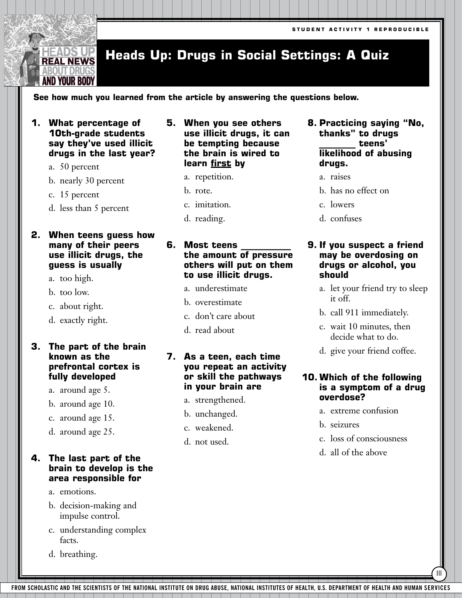#### **Heads Up: Drugs in Social Settings: A Quiz REAL NEWS**

#### **See how much you learned from the article by answering the questions below.**

**1. What percentage of 10th-grade students say they've used illicit drugs in the last year?** 

a. 50 percent

EADS UP

**BOUT DRUG** AND YOUR BODY

b. nearly 30 percent

c. 15 percent

d. less than 5 percent

#### **2. When teens guess how many of their peers use illicit drugs, the guess is usually**

- a. too high.
- b. too low.
- c. about right.
- d. exactly right.

#### **3. The part of the brain known as the prefrontal cortex is fully developed**

- a. around age 5.
- b. around age 10.
- c. around age 15.
- d. around age 25.

#### **4. The last part of the brain to develop is the area responsible for**

- a. emotions.
- b. decision-making and impulse control.
- c. understanding complex facts.
- d. breathing.
- **5. When you see others use illicit drugs, it can be tempting because the brain is wired to learn first by**
	- a. repetition.
	- b. rote.
	- c. imitation.
	- d. reading.

#### **6.** Most teens **the amount of pressure others will put on them to use illicit drugs.**

- a. underestimate
- b. overestimate
- c. don't care about
- d. read about

#### **7. As a teen, each time you repeat an activity or skill the pathways in your brain are**

- a. strengthened.
- b. unchanged.
- c. weakened.
- d. not used.
- **8. Practicing saying "No, thanks" to drugs \_\_\_\_\_\_\_\_ teens' likelihood of abusing drugs.**
	- a. raises
	- b. has no effect on
	- c. lowers
	- d. confuses

#### **9. If you suspect a friend may be overdosing on drugs or alcohol, you should**

- a. let your friend try to sleep it off.
- b. call 911 immediately.
- c. wait 10 minutes, then decide what to do.
- d. give your friend coffee.

#### **10. Which of the following is a symptom of a drug overdose?**

- a. extreme confusion
- b. seizures
- c. loss of consciousness

III

d. all of the above

**FROM SCHOLASTIC AND THE SCIENTISTS OF THE NATIONAL INSTITUTE ON DRUG ABUSE, NATIONAL INSTITUTES OF HEALTH, U.S. DEPARTMENT OF HEALTH AND HUMAN SERVICES**